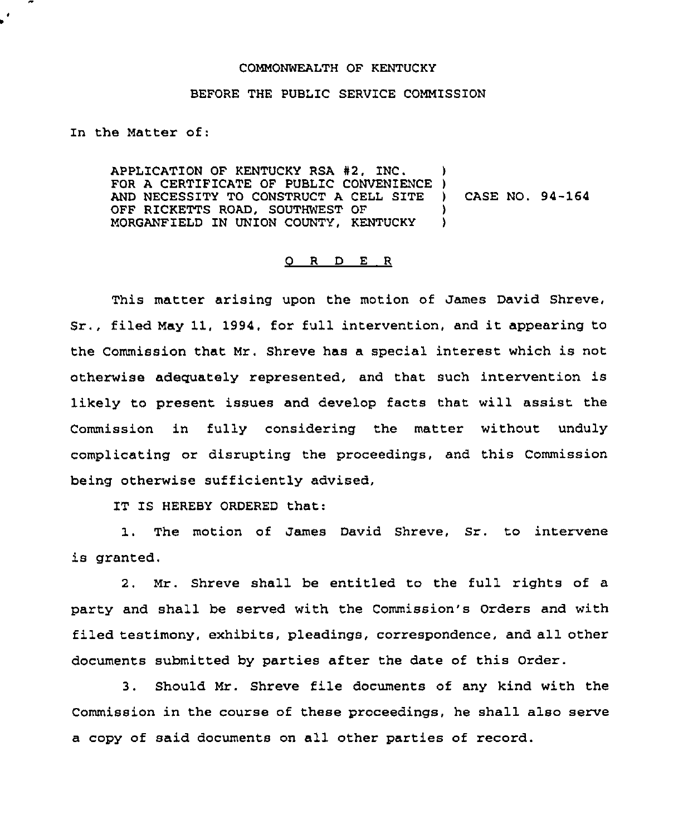## COMMONWEALTH OF KENTUCKY

## BEFORE THE PUBLIC SERVICE COMMISSION

In the Matter of:

APPLICATION OF KENTUCKY RSA #2, INC. FOR A CERTIFICATE OF PUBLIC CONVENIENCE ) AND NECESSITY TO CONSTRUCT A CELL SITE ) CASE NO. 94-164 OFF RICKETTS ROAD, SOUTHWEST OF  $\rangle$ <br>MORGANFIELD IN UNION COUNTY. KENTUCKY MORGANFIELD IN UNION COUNTY, KENTUCKY

## O R D E R

This matter arising upon the motion of James David Shreve, Sr., filed May 11, 1994, for full intervention, and it appearing to the Commission that Mr. Shreve has a special interest which is not otherwise adequately represented, and that such intervention is likely to present issues and develop facts that will assist the Commission in fully considering the matter without unduly complicating or disrupting the proceedings, and this Commission being otherwise sufficiently advised,

IT IS HEREBY ORDERED that:

1. The motion of James David Shreve, Sr. to intervene is granted.

2. Mr. Shreve shall be entitled to the full rights of a party and shall be served with the Commission's Orders and with filed testimony, exhibits, pleadings, correspondence, and all other documents submitted by parties after the date of this Order.

3. Should Mr. Shreve file documents of any kind with the Commission in the course of these proceedings, he shall also serve a copy of said documents on all other parties of record.